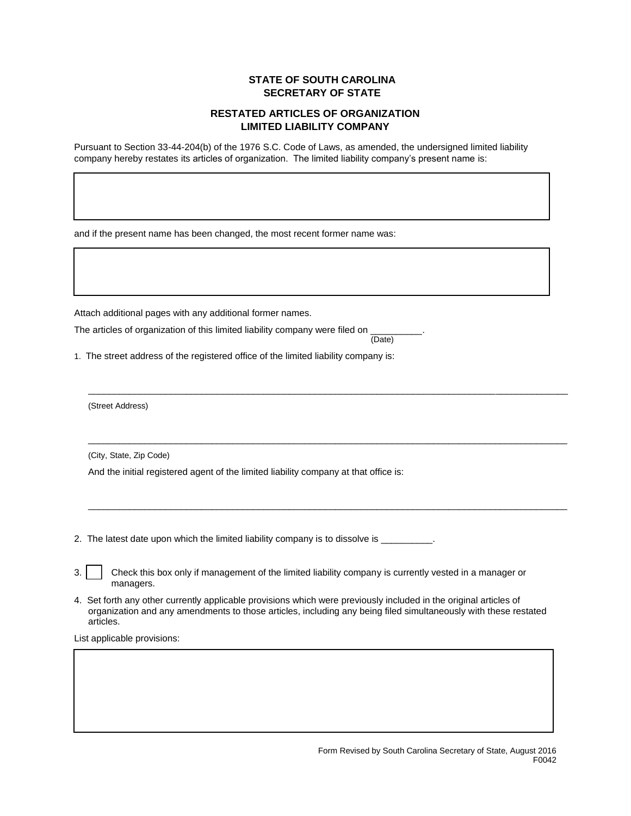## **STATE OF SOUTH CAROLINA SECRETARY OF STATE**

## **RESTATED ARTICLES OF ORGANIZATION LIMITED LIABILITY COMPANY**

Pursuant to Section 33-44-204(b) of the 1976 S.C. Code of Laws, as amended, the undersigned limited liability company hereby restates its articles of organization. The limited liability company's present name is:

and if the present name has been changed, the most recent former name was:

Attach additional pages with any additional former names.

The articles of organization of this limited liability company were filed on (Date)

1. The street address of the registered office of the limited liability company is:

(Street Address)

(City, State, Zip Code)

And the initial registered agent of the limited liability company at that office is:

2. The latest date upon which the limited liability company is to dissolve is \_\_\_\_\_\_\_\_\_.

| 3. $\vert$ Check this box only if management of the limited liability company is currently vested in a manager or |
|-------------------------------------------------------------------------------------------------------------------|
| managers.                                                                                                         |

4. Set forth any other currently applicable provisions which were previously included in the original articles of organization and any amendments to those articles, including any being filed simultaneously with these restated articles.

 $\_$  ,  $\_$  ,  $\_$  ,  $\_$  ,  $\_$  ,  $\_$  ,  $\_$  ,  $\_$  ,  $\_$  ,  $\_$  ,  $\_$  ,  $\_$  ,  $\_$  ,  $\_$  ,  $\_$  ,  $\_$  ,  $\_$  ,  $\_$  ,  $\_$  ,  $\_$  ,  $\_$  ,  $\_$  ,  $\_$  ,  $\_$  ,  $\_$  ,  $\_$  ,  $\_$  ,  $\_$  ,  $\_$  ,  $\_$  ,  $\_$  ,  $\_$  ,  $\_$  ,  $\_$  ,  $\_$  ,  $\_$  ,  $\_$  ,

 $\overline{a}$  , and the state of the state of the state of the state of the state of the state of the state of the state of the state of the state of the state of the state of the state of the state of the state of the state o

 $\overline{a}$  , and the state of the state of the state of the state of the state of the state of the state of the state of the state of the state of the state of the state of the state of the state of the state of the state o

List applicable provisions: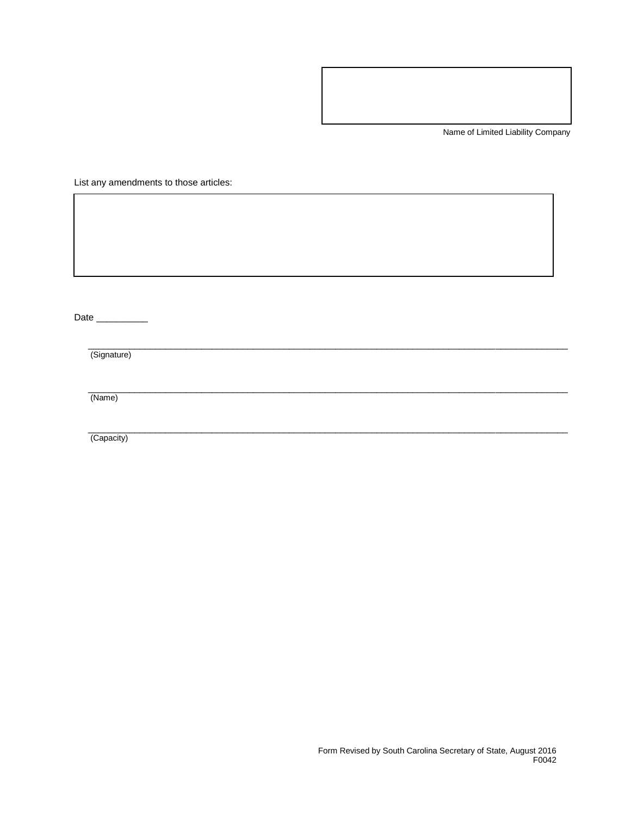Name of Limited Liability Company

List any amendments to those articles:

Date \_\_\_\_\_\_\_\_\_\_\_\_

(Signature)

(Name)

(Capacity)

 $\overline{a}$  , and the contribution of the contribution of the contribution of the contribution of the contribution of the contribution of the contribution of the contribution of the contribution of the contribution of the co

 $\overline{a}$  , and the contribution of the contribution of the contribution of the contribution of the contribution of the contribution of the contribution of the contribution of the contribution of the contribution of the co

 $\overline{a}$  , and the contribution of the contribution of the contribution of the contribution of the contribution of the contribution of the contribution of the contribution of the contribution of the contribution of the co